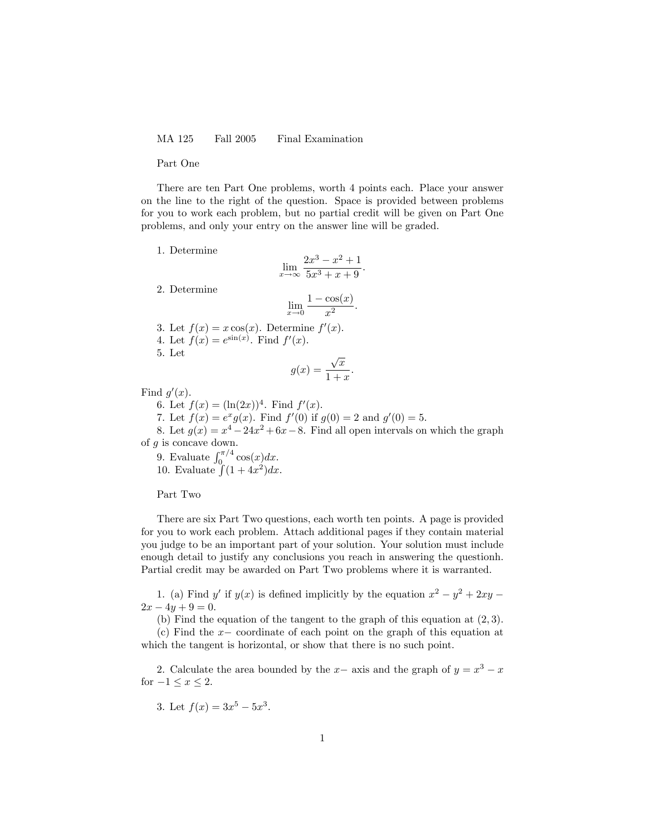MA 125 Fall 2005 Final Examination

Part One

There are ten Part One problems, worth 4 points each. Place your answer on the line to the right of the question. Space is provided between problems for you to work each problem, but no partial credit will be given on Part One problems, and only your entry on the answer line will be graded.

1. Determine

$$
\lim_{x \to \infty} \frac{2x^3 - x^2 + 1}{5x^3 + x + 9}.
$$

2. Determine

$$
\lim_{x \to 0} \frac{1 - \cos(x)}{x^2}.
$$

3. Let  $f(x) = x \cos(x)$ . Determine  $f'(x)$ . 4. Let  $f(x) = e^{\sin(x)}$ . Find  $f'(x)$ . 5. Let  $\cdot$  $\overline{x}$ 

$$
g(x) = \frac{\sqrt{x}}{1+x}.
$$

Find  $g'(x)$ .

6. Let  $f(x) = (\ln(2x))^4$ . Find  $f'(x)$ .

7. Let  $f(x) = e^x g(x)$ . Find  $f'(0)$  if  $g(0) = 2$  and  $g'(0) = 5$ .

8. Let  $g(x) = x^4 - 24x^2 + 6x - 8$ . Find all open intervals on which the graph of  $g$  is concave down.

9. Evaluate  $\int_{0}^{\pi/4} \cos(x) dx$ . 10. Evaluate  $\int (1 + 4x^2) dx$ .

Part Two

There are six Part Two questions, each worth ten points. A page is provided for you to work each problem. Attach additional pages if they contain material you judge to be an important part of your solution. Your solution must include enough detail to justify any conclusions you reach in answering the questionh. Partial credit may be awarded on Part Two problems where it is warranted.

1. (a) Find y' if  $y(x)$  is defined implicitly by the equation  $x^2 - y^2 + 2xy$  $2x - 4y + 9 = 0.$ 

(b) Find the equation of the tangent to the graph of this equation at  $(2,3)$ .

(c) Find the  $x-$  coordinate of each point on the graph of this equation at which the tangent is horizontal, or show that there is no such point.

2. Calculate the area bounded by the  $x-$  axis and the graph of  $y = x^3 - x$ for  $-1 \leq x \leq 2$ .

3. Let 
$$
f(x) = 3x^5 - 5x^3
$$
.